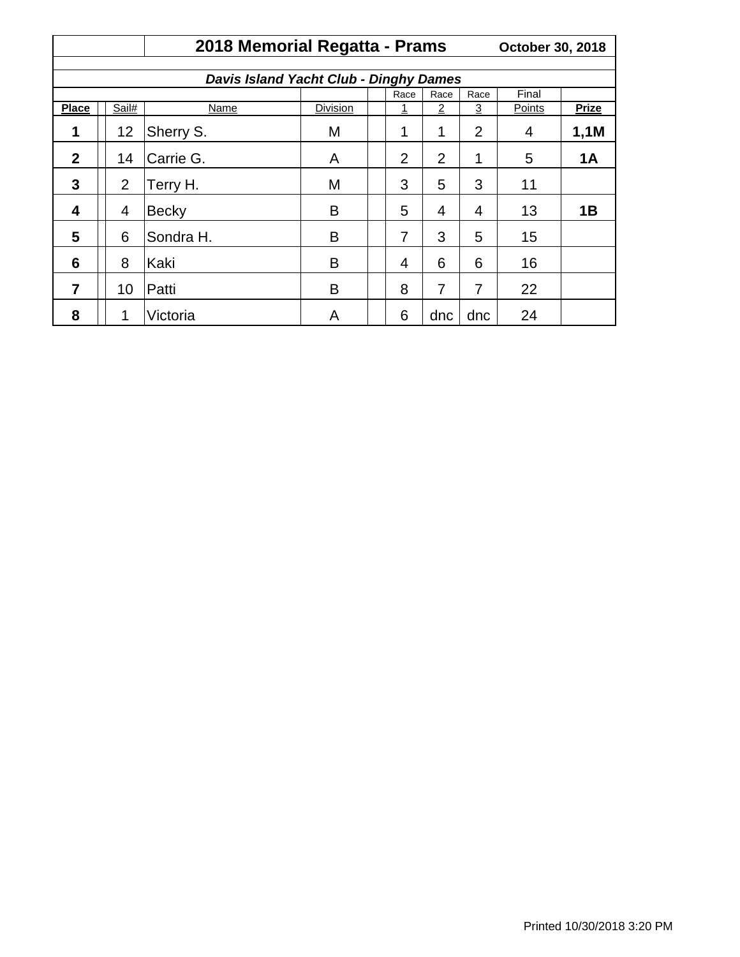|                                               | 2018 Memorial Regatta - Prams |              |                 |      |                |                |                | October 30, 2018 |              |  |  |  |
|-----------------------------------------------|-------------------------------|--------------|-----------------|------|----------------|----------------|----------------|------------------|--------------|--|--|--|
|                                               |                               |              |                 |      |                |                |                |                  |              |  |  |  |
| <b>Davis Island Yacht Club - Dinghy Dames</b> |                               |              |                 |      |                |                |                |                  |              |  |  |  |
|                                               |                               |              | Race            | Race | Race           | Final          |                |                  |              |  |  |  |
| <b>Place</b>                                  | Sail#                         | <b>Name</b>  | <b>Division</b> |      | 1              | $\overline{2}$ | $\overline{3}$ | Points           | <b>Prize</b> |  |  |  |
| 1                                             | 12                            | Sherry S.    | M               |      | 1              | 1              | $\overline{2}$ | 4                | 1,1M         |  |  |  |
| $\mathbf{2}$                                  | 14                            | Carrie G.    | A               |      | $\overline{2}$ | $\overline{2}$ | 1              | 5                | <b>1A</b>    |  |  |  |
| 3                                             | 2                             | Terry H.     | M               |      | 3              | 5              | 3              | 11               |              |  |  |  |
| 4                                             | $\overline{4}$                | <b>Becky</b> | B               |      | 5              | 4              | 4              | 13               | 1B           |  |  |  |
| 5                                             | 6                             | Sondra H.    | B               |      | 7              | 3              | 5              | 15               |              |  |  |  |
| 6                                             | 8                             | Kaki         | B               |      | 4              | 6              | 6              | 16               |              |  |  |  |
| 7                                             | 10                            | Patti        | B               |      | 8              | $\overline{7}$ | 7              | 22               |              |  |  |  |
| 8                                             | 1                             | Victoria     | Α               |      | 6              | dnc            | dnc            | 24               |              |  |  |  |